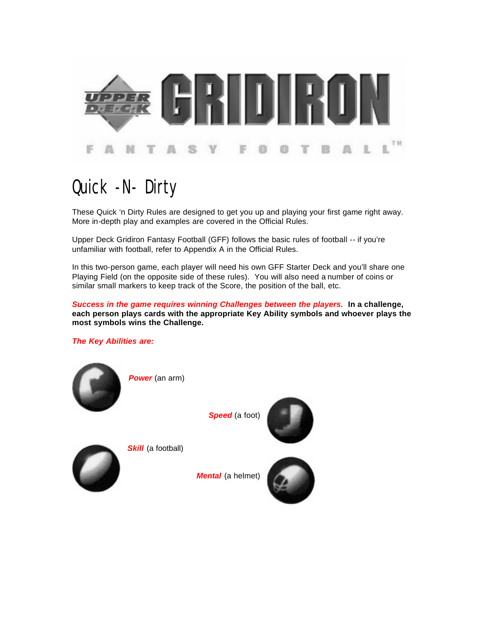

# Quick -N- Dirty

These Quick 'n Dirty Rules are designed to get you up and playing your first game right away. More in-depth play and examples are covered in the Official Rules.

Upper Deck Gridiron Fantasy Football (GFF) follows the basic rules of football -- if you're unfamiliar with football, refer to Appendix A in the Official Rules.

In this two-person game, each player will need his own GFF Starter Deck and you'll share one Playing Field (on the opposite side of these rules). You will also need a number of coins or similar small markers to keep track of the Score, the position of the ball, etc.

*Success in the game requires winning Challenges between the players.* **In a challenge, each person plays cards with the appropriate Key Ability symbols and whoever plays the most symbols wins the Challenge.**

### *The Key Abilities are:*



*Power* (an arm)

**Skill** (a football)

*Speed* (a foot)





*Mental* (a helmet)

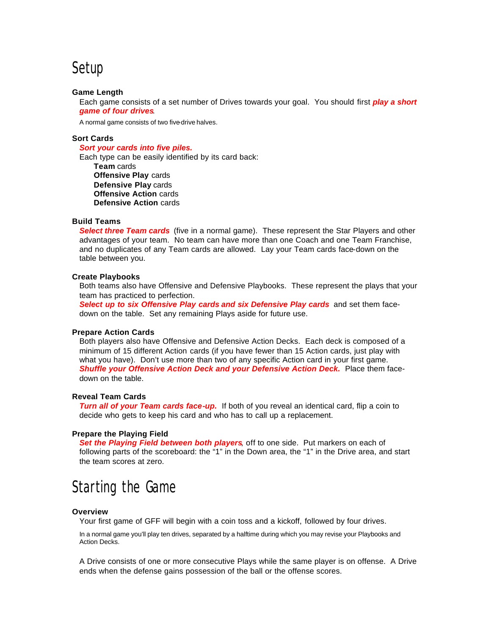# Setup

### **Game Length**

Each game consists of a set number of Drives towards your goal. You should first *play a short game of four drives*.

A normal game consists of two five-drive halves.

### **Sort Cards**

#### *Sort your cards into five piles.*

Each type can be easily identified by its card back: **Team** cards **Offensive Play** cards **Defensive Play** cards **Offensive Action** cards **Defensive Action** cards

#### **Build Teams**

**Select three Team cards** (five in a normal game). These represent the Star Players and other advantages of your team. No team can have more than one Coach and one Team Franchise, and no duplicates of any Team cards are allowed. Lay your Team cards face-down on the table between you.

#### **Create Playbooks**

Both teams also have Offensive and Defensive Playbooks. These represent the plays that your team has practiced to perfection.

**Select up to six Offensive Play cards and six Defensive Play cards** and set them facedown on the table. Set any remaining Plays aside for future use.

#### **Prepare Action Cards**

Both players also have Offensive and Defensive Action Decks. Each deck is composed of a minimum of 15 different Action cards (if you have fewer than 15 Action cards, just play with what you have). Don't use more than two of any specific Action card in your first game. **Shuffle your Offensive Action Deck and your Defensive Action Deck.** Place them facedown on the table.

### **Reveal Team Cards**

*Turn all of your Team cards face-up.* If both of you reveal an identical card, flip a coin to decide who gets to keep his card and who has to call up a replacement.

#### **Prepare the Playing Field**

**Set the Playing Field between both players**, off to one side. Put markers on each of following parts of the scoreboard: the "1" in the Down area, the "1" in the Drive area, and start the team scores at zero.

# Starting the Game

#### **Overview**

Your first game of GFF will begin with a coin toss and a kickoff, followed by four drives.

In a normal game you'll play ten drives, separated by a halftime during which you may revise your Playbooks and Action Decks.

A Drive consists of one or more consecutive Plays while the same player is on offense. A Drive ends when the defense gains possession of the ball or the offense scores.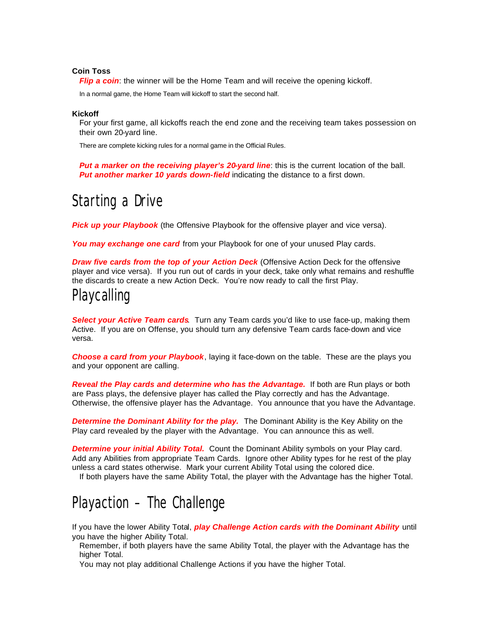### **Coin Toss**

*Flip a coin*: the winner will be the Home Team and will receive the opening kickoff.

In a normal game, the Home Team will kickoff to start the second half.

#### **Kickoff**

For your first game, all kickoffs reach the end zone and the receiving team takes possession on their own 20-yard line.

There are complete kicking rules for a normal game in the Official Rules.

**Put a marker on the receiving player's 20-yard line:** this is the current location of the ball. *Put another marker 10 yards down-field* indicating the distance to a first down.

# Starting a Drive

**Pick up your Playbook** (the Offensive Playbook for the offensive player and vice versa).

*You may exchange one card* from your Playbook for one of your unused Play cards.

*Draw five cards from the top of your Action Deck (Offensive Action Deck for the offensive* player and vice versa). If you run out of cards in your deck, take only what remains and reshuffle the discards to create a new Action Deck. You're now ready to call the first Play.

### Playcalling

*Select your Active Team cards*. Turn any Team cards you'd like to use face-up, making them Active. If you are on Offense, you should turn any defensive Team cards face-down and vice versa.

*Choose a card from your Playbook*, laying it face-down on the table. These are the plays you and your opponent are calling.

*Reveal the Play cards and determine who has the Advantage.* If both are Run plays or both are Pass plays, the defensive player has called the Play correctly and has the Advantage. Otherwise, the offensive player has the Advantage. You announce that you have the Advantage.

*Determine the Dominant Ability for the play.* The Dominant Ability is the Key Ability on the Play card revealed by the player with the Advantage. You can announce this as well.

**Determine your initial Ability Total.** Count the Dominant Ability symbols on your Play card. Add any Abilities from appropriate Team Cards. Ignore other Ability types for he rest of the play unless a card states otherwise. Mark your current Ability Total using the colored dice.

If both players have the same Ability Total, the player with the Advantage has the higher Total.

# Playaction – The Challenge

If you have the lower Ability Total, *play Challenge Action cards with the Dominant Ability* until you have the higher Ability Total.

Remember, if both players have the same Ability Total, the player with the Advantage has the higher Total.

You may not play additional Challenge Actions if you have the higher Total.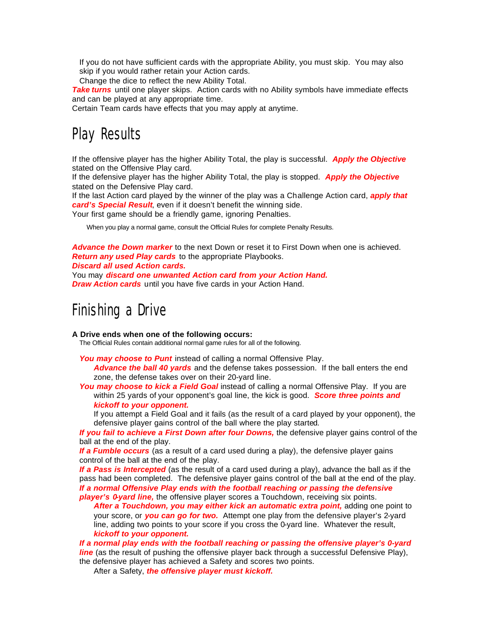If you do not have sufficient cards with the appropriate Ability, you must skip. You may also skip if you would rather retain your Action cards.

Change the dice to reflect the new Ability Total.

*Take turns* until one player skips. Action cards with no Ability symbols have immediate effects and can be played at any appropriate time.

Certain Team cards have effects that you may apply at anytime.

# Play Results

If the offensive player has the higher Ability Total, the play is successful. *Apply the Objective*  stated on the Offensive Play card.

If the defensive player has the higher Ability Total, the play is stopped. *Apply the Objective*  stated on the Defensive Play card.

If the last Action card played by the winner of the play was a Challenge Action card, *apply that card's Special Result*, even if it doesn't benefit the winning side.

Your first game should be a friendly game, ignoring Penalties.

When you play a normal game, consult the Official Rules for complete Penalty Results.

*Advance the Down marker* to the next Down or reset it to First Down when one is achieved. *Return any used Play cards* to the appropriate Playbooks.

*Discard all used Action cards.*

You may *discard one unwanted Action card from your Action Hand. Draw Action cards* until you have five cards in your Action Hand.

## Finishing a Drive

### **A Drive ends when one of the following occurs:**

The Official Rules contain additional normal game rules for all of the following.

You may choose to Punt instead of calling a normal Offensive Play.

*Advance the ball 40 yards* and the defense takes possession. If the ball enters the end zone, the defense takes over on their 20-yard line.

**You may choose to kick a Field Goal** instead of calling a normal Offensive Play. If you are within 25 yards of your opponent's goal line, the kick is good. *Score three points and kickoff to your opponent.*

If you attempt a Field Goal and it fails (as the result of a card played by your opponent), the defensive player gains control of the ball where the play started.

*If you fail to achieve a First Down after four Downs,* the defensive player gains control of the ball at the end of the play.

*If a Fumble occurs* (as a result of a card used during a play), the defensive player gains control of the ball at the end of the play.

*If a Pass is Intercepted* (as the result of a card used during a play), advance the ball as if the pass had been completed. The defensive player gains control of the ball at the end of the play. *If a normal Offensive Play ends with the football reaching or passing the defensive player's 0-yard line,* the offensive player scores a Touchdown, receiving six points.

After a Touchdown, you may either kick an automatic extra point, adding one point to your score, or *you can go for two.* Attempt one play from the defensive player's 2-yard line, adding two points to your score if you cross the 0-yard line. Whatever the result, *kickoff to your opponent.*

*If a normal play ends with the football reaching or passing the offensive player's 0-yard*  **line** (as the result of pushing the offensive player back through a successful Defensive Play), the defensive player has achieved a Safety and scores two points.

After a Safety, *the offensive player must kickoff.*